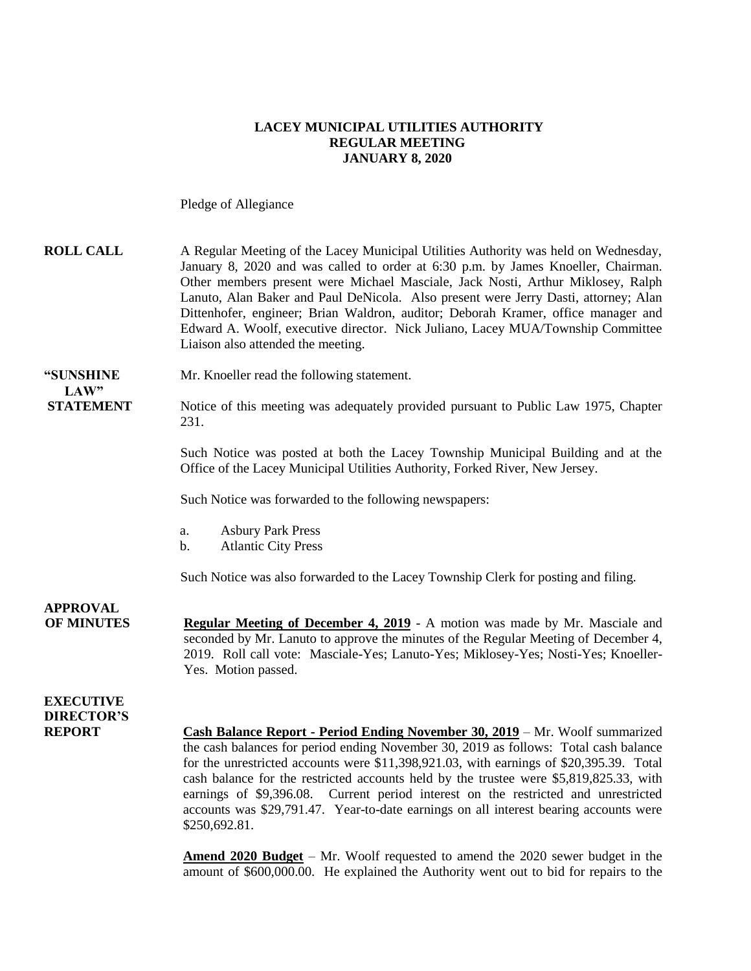#### **LACEY MUNICIPAL UTILITIES AUTHORITY REGULAR MEETING JANUARY 8, 2020**

Pledge of Allegiance

| <b>ROLL CALL</b>                                       | A Regular Meeting of the Lacey Municipal Utilities Authority was held on Wednesday,<br>January 8, 2020 and was called to order at 6:30 p.m. by James Knoeller, Chairman.<br>Other members present were Michael Masciale, Jack Nosti, Arthur Miklosey, Ralph<br>Lanuto, Alan Baker and Paul DeNicola. Also present were Jerry Dasti, attorney; Alan<br>Dittenhofer, engineer; Brian Waldron, auditor; Deborah Kramer, office manager and<br>Edward A. Woolf, executive director. Nick Juliano, Lacey MUA/Township Committee<br>Liaison also attended the meeting. |
|--------------------------------------------------------|------------------------------------------------------------------------------------------------------------------------------------------------------------------------------------------------------------------------------------------------------------------------------------------------------------------------------------------------------------------------------------------------------------------------------------------------------------------------------------------------------------------------------------------------------------------|
| "SUNSHINE<br>LAW"                                      | Mr. Knoeller read the following statement.                                                                                                                                                                                                                                                                                                                                                                                                                                                                                                                       |
| <b>STATEMENT</b>                                       | Notice of this meeting was adequately provided pursuant to Public Law 1975, Chapter<br>231.                                                                                                                                                                                                                                                                                                                                                                                                                                                                      |
|                                                        | Such Notice was posted at both the Lacey Township Municipal Building and at the<br>Office of the Lacey Municipal Utilities Authority, Forked River, New Jersey.                                                                                                                                                                                                                                                                                                                                                                                                  |
|                                                        | Such Notice was forwarded to the following newspapers:                                                                                                                                                                                                                                                                                                                                                                                                                                                                                                           |
|                                                        | <b>Asbury Park Press</b><br>a.<br><b>Atlantic City Press</b><br>b.                                                                                                                                                                                                                                                                                                                                                                                                                                                                                               |
|                                                        | Such Notice was also forwarded to the Lacey Township Clerk for posting and filing.                                                                                                                                                                                                                                                                                                                                                                                                                                                                               |
| <b>APPROVAL</b><br><b>OF MINUTES</b>                   | Regular Meeting of December 4, 2019 - A motion was made by Mr. Masciale and<br>seconded by Mr. Lanuto to approve the minutes of the Regular Meeting of December 4,<br>2019. Roll call vote: Masciale-Yes; Lanuto-Yes; Miklosey-Yes; Nosti-Yes; Knoeller-<br>Yes. Motion passed.                                                                                                                                                                                                                                                                                  |
| <b>EXECUTIVE</b><br><b>DIRECTOR'S</b><br><b>REPORT</b> | Cash Balance Report - Period Ending November 30, 2019 - Mr. Woolf summarized<br>the cash balances for period ending November 30, 2019 as follows: Total cash balance<br>for the unrestricted accounts were \$11,398,921.03, with earnings of \$20,395.39. Total<br>cash balance for the restricted accounts held by the trustee were \$5,819,825.33, with<br>earnings of \$9,396.08. Current period interest on the restricted and unrestricted<br>accounts was \$29,791.47. Year-to-date earnings on all interest bearing accounts were<br>\$250,692.81.        |

**Amend 2020 Budget** – Mr. Woolf requested to amend the 2020 sewer budget in the amount of \$600,000.00. He explained the Authority went out to bid for repairs to the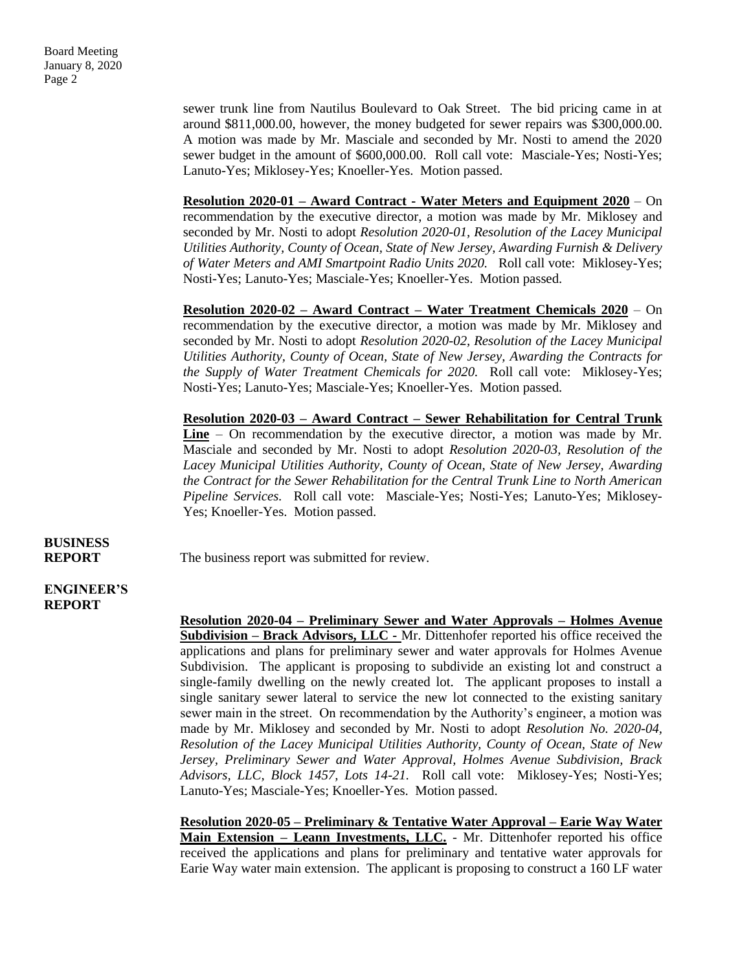sewer trunk line from Nautilus Boulevard to Oak Street. The bid pricing came in at around \$811,000.00, however, the money budgeted for sewer repairs was \$300,000.00. A motion was made by Mr. Masciale and seconded by Mr. Nosti to amend the 2020 sewer budget in the amount of \$600,000.00. Roll call vote: Masciale-Yes; Nosti-Yes; Lanuto-Yes; Miklosey-Yes; Knoeller-Yes. Motion passed.

**Resolution 2020-01 – Award Contract - Water Meters and Equipment 2020** – On recommendation by the executive director, a motion was made by Mr. Miklosey and seconded by Mr. Nosti to adopt *Resolution 2020-01, Resolution of the Lacey Municipal Utilities Authority, County of Ocean, State of New Jersey, Awarding Furnish & Delivery of Water Meters and AMI Smartpoint Radio Units 2020.* Roll call vote: Miklosey-Yes; Nosti-Yes; Lanuto-Yes; Masciale-Yes; Knoeller-Yes. Motion passed.

**Resolution 2020-02 – Award Contract – Water Treatment Chemicals 2020** – On recommendation by the executive director, a motion was made by Mr. Miklosey and seconded by Mr. Nosti to adopt *Resolution 2020-02, Resolution of the Lacey Municipal Utilities Authority, County of Ocean, State of New Jersey, Awarding the Contracts for the Supply of Water Treatment Chemicals for 2020.* Roll call vote: Miklosey-Yes; Nosti-Yes; Lanuto-Yes; Masciale-Yes; Knoeller-Yes. Motion passed.

**Resolution 2020-03 – Award Contract – Sewer Rehabilitation for Central Trunk Line** – On recommendation by the executive director, a motion was made by Mr. Masciale and seconded by Mr. Nosti to adopt *Resolution 2020-03, Resolution of the Lacey Municipal Utilities Authority, County of Ocean, State of New Jersey, Awarding the Contract for the Sewer Rehabilitation for the Central Trunk Line to North American Pipeline Services.* Roll call vote: Masciale-Yes; Nosti-Yes; Lanuto-Yes; Miklosey-Yes; Knoeller-Yes. Motion passed.

# **BUSINESS**

**REPORT** The business report was submitted for review.

#### **ENGINEER'S REPORT**

**Resolution 2020-04 – Preliminary Sewer and Water Approvals – Holmes Avenue Subdivision – Brack Advisors, LLC -** Mr. Dittenhofer reported his office received the applications and plans for preliminary sewer and water approvals for Holmes Avenue Subdivision. The applicant is proposing to subdivide an existing lot and construct a single-family dwelling on the newly created lot. The applicant proposes to install a single sanitary sewer lateral to service the new lot connected to the existing sanitary sewer main in the street. On recommendation by the Authority's engineer, a motion was made by Mr. Miklosey and seconded by Mr. Nosti to adopt *Resolution No. 2020-04, Resolution of the Lacey Municipal Utilities Authority, County of Ocean, State of New Jersey, Preliminary Sewer and Water Approval, Holmes Avenue Subdivision, Brack Advisors, LLC, Block 1457, Lots 14-21.* Roll call vote: Miklosey-Yes; Nosti-Yes; Lanuto-Yes; Masciale-Yes; Knoeller-Yes. Motion passed.

**Resolution 2020-05 – Preliminary & Tentative Water Approval – Earie Way Water Main Extension – Leann Investments, LLC.** - Mr. Dittenhofer reported his office received the applications and plans for preliminary and tentative water approvals for Earie Way water main extension. The applicant is proposing to construct a 160 LF water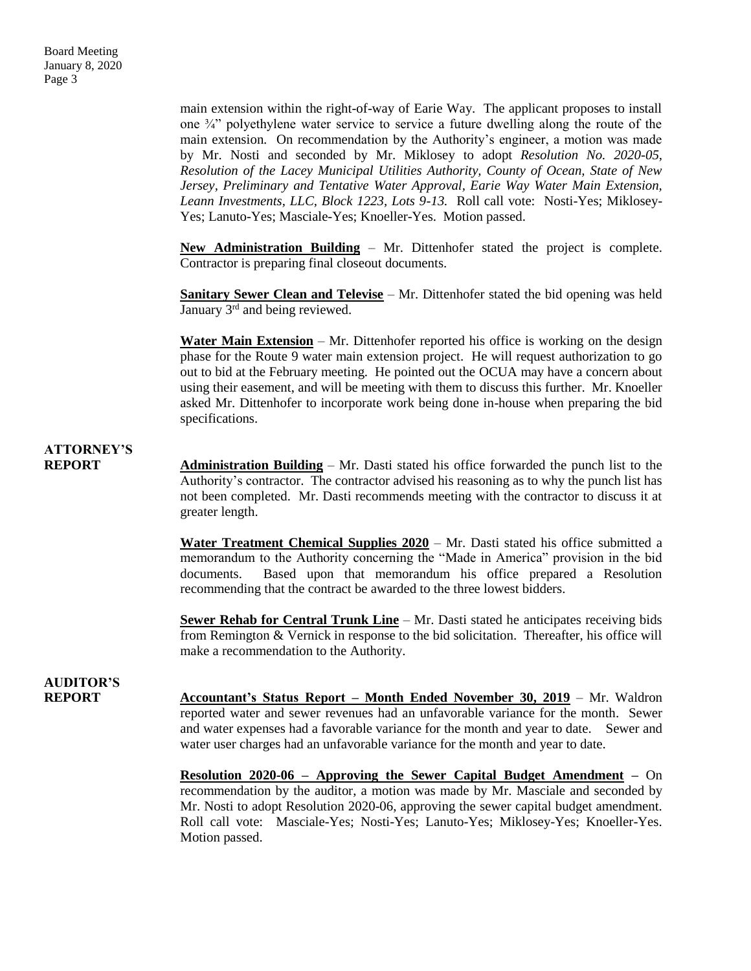main extension within the right-of-way of Earie Way. The applicant proposes to install one  $\frac{3}{4}$ " polyethylene water service to service a future dwelling along the route of the main extension. On recommendation by the Authority's engineer, a motion was made by Mr. Nosti and seconded by Mr. Miklosey to adopt *Resolution No. 2020-05, Resolution of the Lacey Municipal Utilities Authority, County of Ocean, State of New Jersey, Preliminary and Tentative Water Approval, Earie Way Water Main Extension, Leann Investments, LLC, Block 1223, Lots 9-13.* Roll call vote: Nosti-Yes; Miklosey-Yes; Lanuto-Yes; Masciale-Yes; Knoeller-Yes. Motion passed.

**New Administration Building** – Mr. Dittenhofer stated the project is complete. Contractor is preparing final closeout documents.

**Sanitary Sewer Clean and Televise** – Mr. Dittenhofer stated the bid opening was held January 3<sup>rd</sup> and being reviewed.

**Water Main Extension** – Mr. Dittenhofer reported his office is working on the design phase for the Route 9 water main extension project. He will request authorization to go out to bid at the February meeting. He pointed out the OCUA may have a concern about using their easement, and will be meeting with them to discuss this further. Mr. Knoeller asked Mr. Dittenhofer to incorporate work being done in-house when preparing the bid specifications.

### **ATTORNEY'S**

**REPORT Administration Building** – Mr. Dasti stated his office forwarded the punch list to the Authority's contractor. The contractor advised his reasoning as to why the punch list has not been completed. Mr. Dasti recommends meeting with the contractor to discuss it at greater length.

> **Water Treatment Chemical Supplies 2020** – Mr. Dasti stated his office submitted a memorandum to the Authority concerning the "Made in America" provision in the bid documents. Based upon that memorandum his office prepared a Resolution recommending that the contract be awarded to the three lowest bidders.

> **Sewer Rehab for Central Trunk Line** – Mr. Dasti stated he anticipates receiving bids from Remington & Vernick in response to the bid solicitation. Thereafter, his office will make a recommendation to the Authority.

## **AUDITOR'S**

**REPORT Accountant's Status Report – Month Ended November 30, 2019** – Mr. Waldron reported water and sewer revenues had an unfavorable variance for the month. Sewer and water expenses had a favorable variance for the month and year to date. Sewer and water user charges had an unfavorable variance for the month and year to date.

> **Resolution 2020-06 – Approving the Sewer Capital Budget Amendment –** On recommendation by the auditor, a motion was made by Mr. Masciale and seconded by Mr. Nosti to adopt Resolution 2020-06, approving the sewer capital budget amendment. Roll call vote: Masciale-Yes; Nosti-Yes; Lanuto-Yes; Miklosey-Yes; Knoeller-Yes. Motion passed.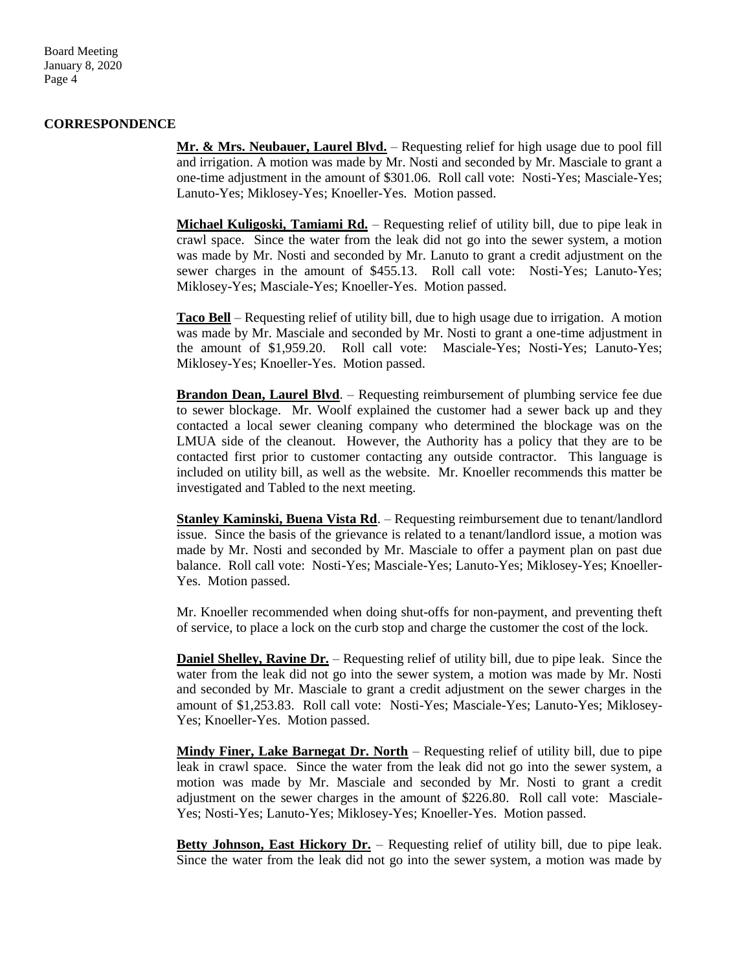Board Meeting January 8, 2020 Page 4

#### **CORRESPONDENCE**

**Mr. & Mrs. Neubauer, Laurel Blvd.** – Requesting relief for high usage due to pool fill and irrigation. A motion was made by Mr. Nosti and seconded by Mr. Masciale to grant a one-time adjustment in the amount of \$301.06. Roll call vote: Nosti-Yes; Masciale-Yes; Lanuto-Yes; Miklosey-Yes; Knoeller-Yes. Motion passed.

**Michael Kuligoski, Tamiami Rd.** – Requesting relief of utility bill, due to pipe leak in crawl space. Since the water from the leak did not go into the sewer system, a motion was made by Mr. Nosti and seconded by Mr. Lanuto to grant a credit adjustment on the sewer charges in the amount of \$455.13. Roll call vote: Nosti-Yes; Lanuto-Yes; Miklosey-Yes; Masciale-Yes; Knoeller-Yes. Motion passed.

**Taco Bell** – Requesting relief of utility bill, due to high usage due to irrigation. A motion was made by Mr. Masciale and seconded by Mr. Nosti to grant a one-time adjustment in the amount of \$1,959.20. Roll call vote: Masciale-Yes; Nosti-Yes; Lanuto-Yes; Miklosey-Yes; Knoeller-Yes. Motion passed.

**Brandon Dean, Laurel Blvd**. – Requesting reimbursement of plumbing service fee due to sewer blockage. Mr. Woolf explained the customer had a sewer back up and they contacted a local sewer cleaning company who determined the blockage was on the LMUA side of the cleanout. However, the Authority has a policy that they are to be contacted first prior to customer contacting any outside contractor. This language is included on utility bill, as well as the website. Mr. Knoeller recommends this matter be investigated and Tabled to the next meeting.

**Stanley Kaminski, Buena Vista Rd**. – Requesting reimbursement due to tenant/landlord issue. Since the basis of the grievance is related to a tenant/landlord issue, a motion was made by Mr. Nosti and seconded by Mr. Masciale to offer a payment plan on past due balance. Roll call vote: Nosti-Yes; Masciale-Yes; Lanuto-Yes; Miklosey-Yes; Knoeller-Yes. Motion passed.

Mr. Knoeller recommended when doing shut-offs for non-payment, and preventing theft of service, to place a lock on the curb stop and charge the customer the cost of the lock.

**Daniel Shelley, Ravine Dr.** – Requesting relief of utility bill, due to pipe leak. Since the water from the leak did not go into the sewer system, a motion was made by Mr. Nosti and seconded by Mr. Masciale to grant a credit adjustment on the sewer charges in the amount of \$1,253.83. Roll call vote: Nosti-Yes; Masciale-Yes; Lanuto-Yes; Miklosey-Yes; Knoeller-Yes. Motion passed.

**Mindy Finer, Lake Barnegat Dr. North** – Requesting relief of utility bill, due to pipe leak in crawl space. Since the water from the leak did not go into the sewer system, a motion was made by Mr. Masciale and seconded by Mr. Nosti to grant a credit adjustment on the sewer charges in the amount of \$226.80. Roll call vote: Masciale-Yes; Nosti-Yes; Lanuto-Yes; Miklosey-Yes; Knoeller-Yes. Motion passed.

**Betty Johnson, East Hickory Dr.** – Requesting relief of utility bill, due to pipe leak. Since the water from the leak did not go into the sewer system, a motion was made by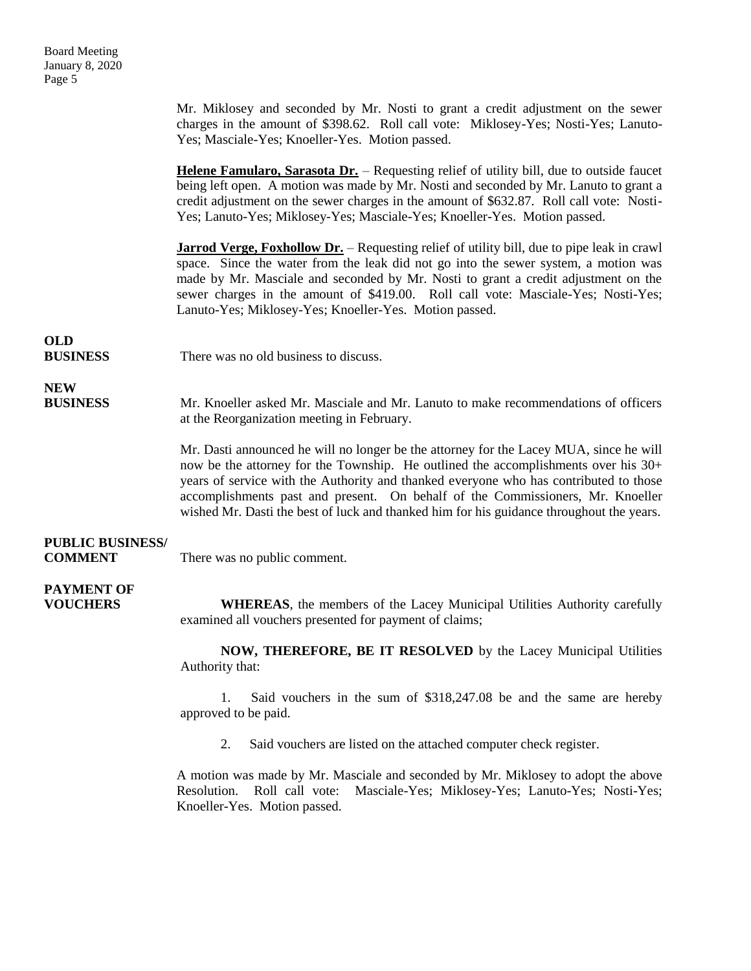Board Meeting January 8, 2020 Page 5

> Mr. Miklosey and seconded by Mr. Nosti to grant a credit adjustment on the sewer charges in the amount of \$398.62. Roll call vote: Miklosey-Yes; Nosti-Yes; Lanuto-Yes; Masciale-Yes; Knoeller-Yes. Motion passed.

> **Helene Famularo, Sarasota Dr.** – Requesting relief of utility bill, due to outside faucet being left open. A motion was made by Mr. Nosti and seconded by Mr. Lanuto to grant a credit adjustment on the sewer charges in the amount of \$632.87. Roll call vote: Nosti-Yes; Lanuto-Yes; Miklosey-Yes; Masciale-Yes; Knoeller-Yes. Motion passed.

> **Jarrod Verge, Foxhollow Dr.** – Requesting relief of utility bill, due to pipe leak in crawl space. Since the water from the leak did not go into the sewer system, a motion was made by Mr. Masciale and seconded by Mr. Nosti to grant a credit adjustment on the sewer charges in the amount of \$419.00. Roll call vote: Masciale-Yes; Nosti-Yes; Lanuto-Yes; Miklosey-Yes; Knoeller-Yes. Motion passed.

## **OLD**

**BUSINESS** There was no old business to discuss.

## **NEW**

**BUSINESS** Mr. Knoeller asked Mr. Masciale and Mr. Lanuto to make recommendations of officers at the Reorganization meeting in February.

> Mr. Dasti announced he will no longer be the attorney for the Lacey MUA, since he will now be the attorney for the Township. He outlined the accomplishments over his 30+ years of service with the Authority and thanked everyone who has contributed to those accomplishments past and present. On behalf of the Commissioners, Mr. Knoeller wished Mr. Dasti the best of luck and thanked him for his guidance throughout the years.

### **PUBLIC BUSINESS/**

**COMMENT** There was no public comment.

# **PAYMENT OF**

**VOUCHERS WHEREAS**, the members of the Lacey Municipal Utilities Authority carefully examined all vouchers presented for payment of claims;

> **NOW, THEREFORE, BE IT RESOLVED** by the Lacey Municipal Utilities Authority that:

> 1. Said vouchers in the sum of \$318,247.08 be and the same are hereby approved to be paid.

2. Said vouchers are listed on the attached computer check register.

A motion was made by Mr. Masciale and seconded by Mr. Miklosey to adopt the above Resolution. Roll call vote: Masciale-Yes; Miklosey-Yes; Lanuto-Yes; Nosti-Yes; Knoeller-Yes. Motion passed.